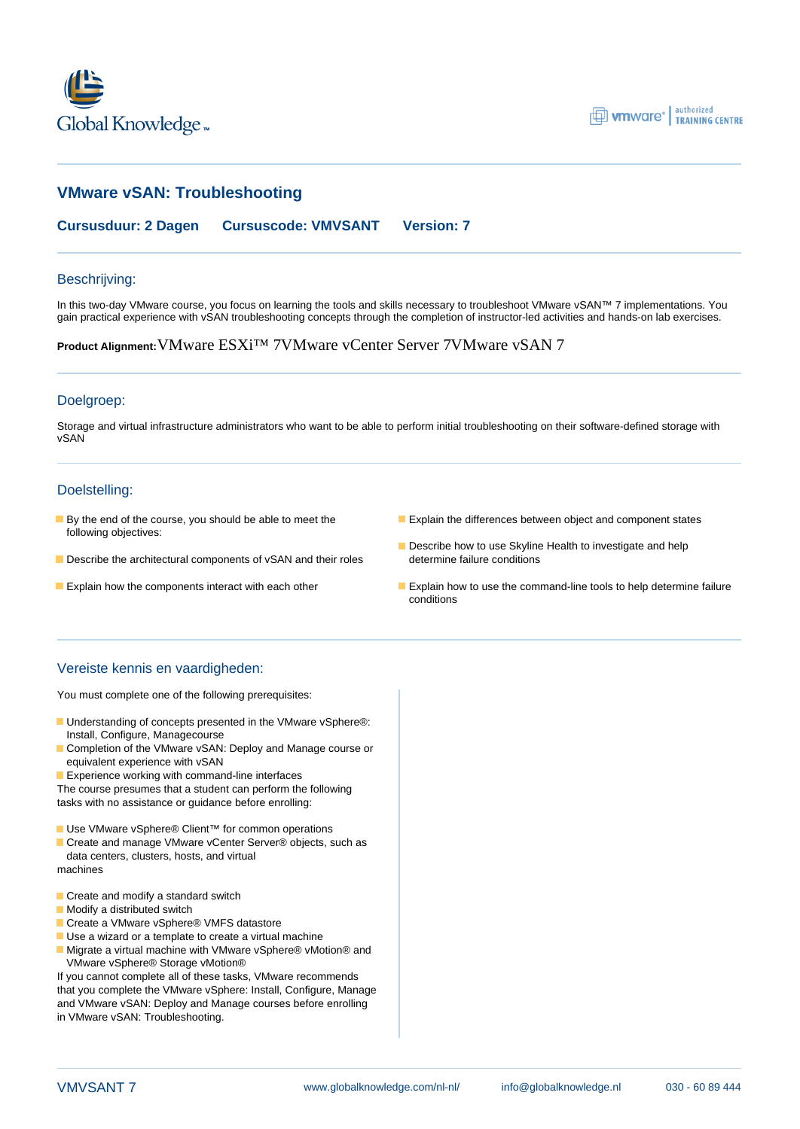



# **VMware vSAN: Troubleshooting**

**Cursusduur: 2 Dagen Cursuscode: VMVSANT Version: 7**

#### Beschrijving:

In this two-day VMware course, you focus on learning the tools and skills necessary to troubleshoot VMware vSAN™ 7 implementations. You gain practical experience with vSAN troubleshooting concepts through the completion of instructor-led activities and hands-on lab exercises.

**Product Alignment:**VMware ESXi™ 7VMware vCenter Server 7VMware vSAN 7

#### Doelgroep:

Storage and virtual infrastructure administrators who want to be able to perform initial troubleshooting on their software-defined storage with vSAN

#### Doelstelling:

- following objectives:
- Describe the architectural components of vSAN and their roles determine failure conditions
- 
- **By the end of the course, you should be able to meet the Explain the differences between object and component states** 
	- Describe how to use Skyline Health to investigate and help
- **Explain how the components interact with each other Explain how to use the command-line tools to help determine failure** conditions

## Vereiste kennis en vaardigheden:

You must complete one of the following prerequisites:

- Understanding of concepts presented in the VMware vSphere®: Install, Configure, Managecourse
- Completion of the VMware vSAN: Deploy and Manage course or equivalent experience with vSAN
- **Experience working with command-line interfaces**

The course presumes that a student can perform the following tasks with no assistance or guidance before enrolling:

- Use VMware vSphere® Client<sup>™</sup> for common operations
- Create and manage VMware vCenter Server® objects, such as data centers, clusters, hosts, and virtual machines
- 
- Create and modify a standard switch
- **Modify a distributed switch**
- Create a VMware vSphere® VMFS datastore
- Use a wizard or a template to create a virtual machine
- Migrate a virtual machine with VMware vSphere® vMotion® and VMware vSphere® Storage vMotion®

If you cannot complete all of these tasks, VMware recommends that you complete the VMware vSphere: Install, Configure, Manage and VMware vSAN: Deploy and Manage courses before enrolling in VMware vSAN: Troubleshooting.